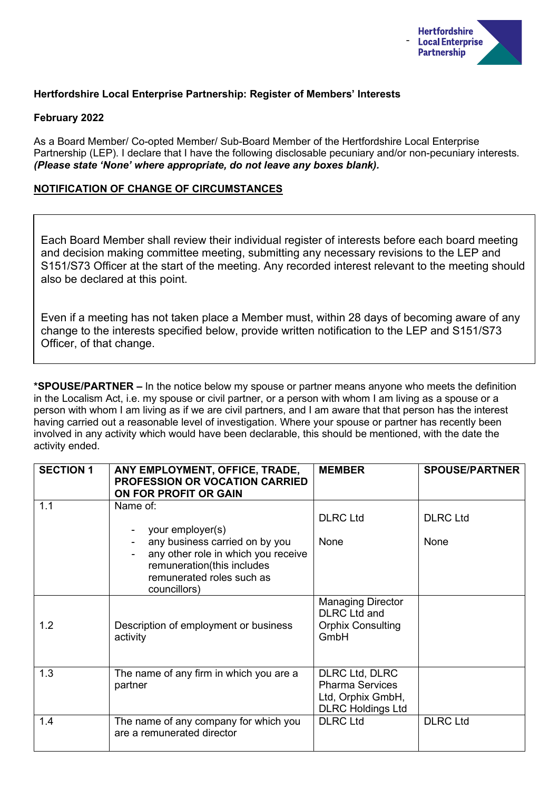

# **Hertfordshire Local Enterprise Partnership: Register of Members' Interests**

### **February 2022**

As a Board Member/ Co-opted Member/ Sub-Board Member of the Hertfordshire Local Enterprise Partnership (LEP). I declare that I have the following disclosable pecuniary and/or non-pecuniary interests. *(Please state 'None' where appropriate, do not leave any boxes blank).*

# **NOTIFICATION OF CHANGE OF CIRCUMSTANCES**

Each Board Member shall review their individual register of interests before each board meeting and decision making committee meeting, submitting any necessary revisions to the LEP and S151/S73 Officer at the start of the meeting. Any recorded interest relevant to the meeting should also be declared at this point.

Even if a meeting has not taken place a Member must, within 28 days of becoming aware of any change to the interests specified below, provide written notification to the LEP and S151/S73 Officer, of that change.

**\*SPOUSE/PARTNER –** In the notice below my spouse or partner means anyone who meets the definition in the Localism Act, i.e. my spouse or civil partner, or a person with whom I am living as a spouse or a person with whom I am living as if we are civil partners, and I am aware that that person has the interest having carried out a reasonable level of investigation. Where your spouse or partner has recently been involved in any activity which would have been declarable, this should be mentioned, with the date the activity ended.

| <b>SECTION 1</b> | ANY EMPLOYMENT, OFFICE, TRADE,<br><b>PROFESSION OR VOCATION CARRIED</b><br>ON FOR PROFIT OR GAIN                                                                 | <b>MEMBER</b>                                                                                    | <b>SPOUSE/PARTNER</b>   |
|------------------|------------------------------------------------------------------------------------------------------------------------------------------------------------------|--------------------------------------------------------------------------------------------------|-------------------------|
| 1.1              | Name of:<br>your employer(s)<br>any business carried on by you<br>any other role in which you receive<br>remuneration(this includes<br>remunerated roles such as | <b>DLRC Ltd</b><br>None                                                                          | <b>DLRC Ltd</b><br>None |
| 1.2              | councillors)<br>Description of employment or business<br>activity                                                                                                | <b>Managing Director</b><br><b>DLRC</b> Ltd and<br><b>Orphix Consulting</b><br>GmbH              |                         |
| 1.3              | The name of any firm in which you are a<br>partner                                                                                                               | <b>DLRC Ltd, DLRC</b><br><b>Pharma Services</b><br>Ltd, Orphix GmbH,<br><b>DLRC Holdings Ltd</b> |                         |
| 1.4              | The name of any company for which you<br>are a remunerated director                                                                                              | <b>DLRC Ltd</b>                                                                                  | <b>DLRC Ltd</b>         |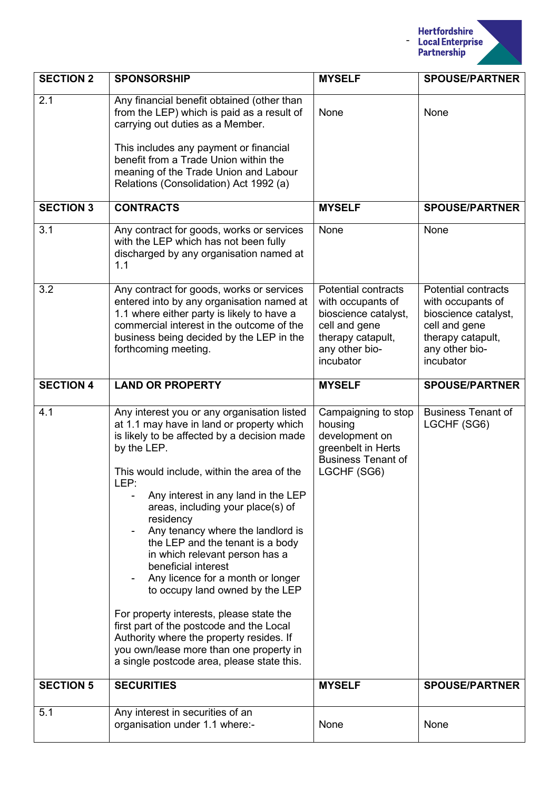

| <b>SECTION 2</b> | <b>SPONSORSHIP</b>                                                                                                                                                                                                                                                                                                                                                                                                                                                                                                                                                                                                                                                                                                                           | <b>MYSELF</b>                                                                                                                                | <b>SPOUSE/PARTNER</b>                                                                                                                        |
|------------------|----------------------------------------------------------------------------------------------------------------------------------------------------------------------------------------------------------------------------------------------------------------------------------------------------------------------------------------------------------------------------------------------------------------------------------------------------------------------------------------------------------------------------------------------------------------------------------------------------------------------------------------------------------------------------------------------------------------------------------------------|----------------------------------------------------------------------------------------------------------------------------------------------|----------------------------------------------------------------------------------------------------------------------------------------------|
| 2.1              | Any financial benefit obtained (other than<br>from the LEP) which is paid as a result of<br>carrying out duties as a Member.<br>This includes any payment or financial<br>benefit from a Trade Union within the<br>meaning of the Trade Union and Labour<br>Relations (Consolidation) Act 1992 (a)                                                                                                                                                                                                                                                                                                                                                                                                                                           | None                                                                                                                                         | None                                                                                                                                         |
| <b>SECTION 3</b> | <b>CONTRACTS</b>                                                                                                                                                                                                                                                                                                                                                                                                                                                                                                                                                                                                                                                                                                                             | <b>MYSELF</b>                                                                                                                                | <b>SPOUSE/PARTNER</b>                                                                                                                        |
| 3.1              | Any contract for goods, works or services<br>with the LEP which has not been fully<br>discharged by any organisation named at<br>1.1                                                                                                                                                                                                                                                                                                                                                                                                                                                                                                                                                                                                         | None                                                                                                                                         | None                                                                                                                                         |
| 3.2              | Any contract for goods, works or services<br>entered into by any organisation named at<br>1.1 where either party is likely to have a<br>commercial interest in the outcome of the<br>business being decided by the LEP in the<br>forthcoming meeting.                                                                                                                                                                                                                                                                                                                                                                                                                                                                                        | <b>Potential contracts</b><br>with occupants of<br>bioscience catalyst,<br>cell and gene<br>therapy catapult,<br>any other bio-<br>incubator | <b>Potential contracts</b><br>with occupants of<br>bioscience catalyst,<br>cell and gene<br>therapy catapult,<br>any other bio-<br>incubator |
| <b>SECTION 4</b> | <b>LAND OR PROPERTY</b>                                                                                                                                                                                                                                                                                                                                                                                                                                                                                                                                                                                                                                                                                                                      | <b>MYSELF</b>                                                                                                                                | <b>SPOUSE/PARTNER</b>                                                                                                                        |
| 4.1              | Any interest you or any organisation listed<br>at 1.1 may have in land or property which<br>is likely to be affected by a decision made<br>by the LEP.<br>This would include, within the area of the<br>LEP:<br>Any interest in any land in the LEP<br>areas, including your place(s) of<br>residency<br>Any tenancy where the landlord is<br>the LEP and the tenant is a body<br>in which relevant person has a<br>beneficial interest<br>Any licence for a month or longer<br>to occupy land owned by the LEP<br>For property interests, please state the<br>first part of the postcode and the Local<br>Authority where the property resides. If<br>you own/lease more than one property in<br>a single postcode area, please state this. | Campaigning to stop<br>housing<br>development on<br>greenbelt in Herts<br><b>Business Tenant of</b><br>LGCHF (SG6)                           | <b>Business Tenant of</b><br>LGCHF (SG6)                                                                                                     |
| <b>SECTION 5</b> | <b>SECURITIES</b>                                                                                                                                                                                                                                                                                                                                                                                                                                                                                                                                                                                                                                                                                                                            | <b>MYSELF</b>                                                                                                                                | <b>SPOUSE/PARTNER</b>                                                                                                                        |
| 5.1              | Any interest in securities of an<br>organisation under 1.1 where:-                                                                                                                                                                                                                                                                                                                                                                                                                                                                                                                                                                                                                                                                           | None                                                                                                                                         | None                                                                                                                                         |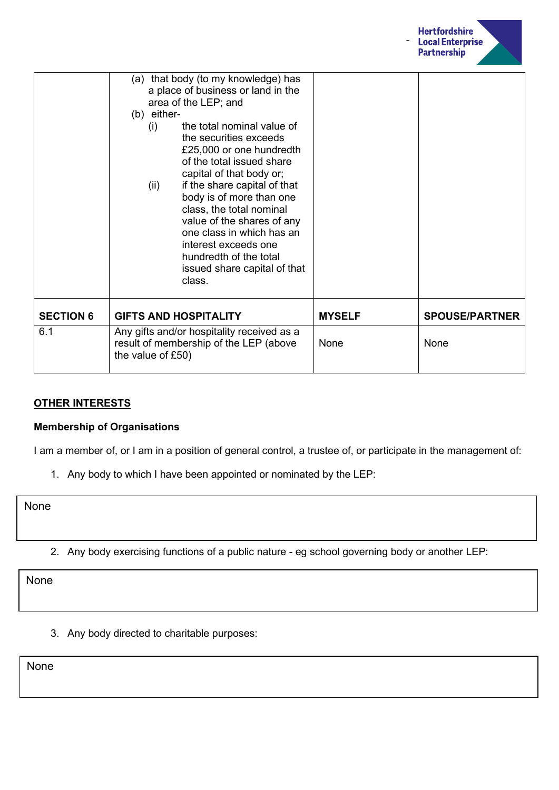

|                  | (a) that body (to my knowledge) has<br>a place of business or land in the<br>area of the LEP; and<br>(b) either-<br>the total nominal value of<br>(i)<br>the securities exceeds<br>£25,000 or one hundredth<br>of the total issued share<br>capital of that body or;<br>if the share capital of that<br>(ii)<br>body is of more than one<br>class, the total nominal<br>value of the shares of any<br>one class in which has an<br>interest exceeds one<br>hundredth of the total<br>issued share capital of that<br>class. |               |                       |
|------------------|-----------------------------------------------------------------------------------------------------------------------------------------------------------------------------------------------------------------------------------------------------------------------------------------------------------------------------------------------------------------------------------------------------------------------------------------------------------------------------------------------------------------------------|---------------|-----------------------|
| <b>SECTION 6</b> | <b>GIFTS AND HOSPITALITY</b>                                                                                                                                                                                                                                                                                                                                                                                                                                                                                                | <b>MYSELF</b> | <b>SPOUSE/PARTNER</b> |
| 6.1              | Any gifts and/or hospitality received as a<br>result of membership of the LEP (above<br>the value of £50)                                                                                                                                                                                                                                                                                                                                                                                                                   | None          | None                  |

### **OTHER INTERESTS**

#### **Membership of Organisations**

I am a member of, or I am in a position of general control, a trustee of, or participate in the management of:

1. Any body to which I have been appointed or nominated by the LEP:

None

2. Any body exercising functions of a public nature - eg school governing body or another LEP:

None

3. Any body directed to charitable purposes:

None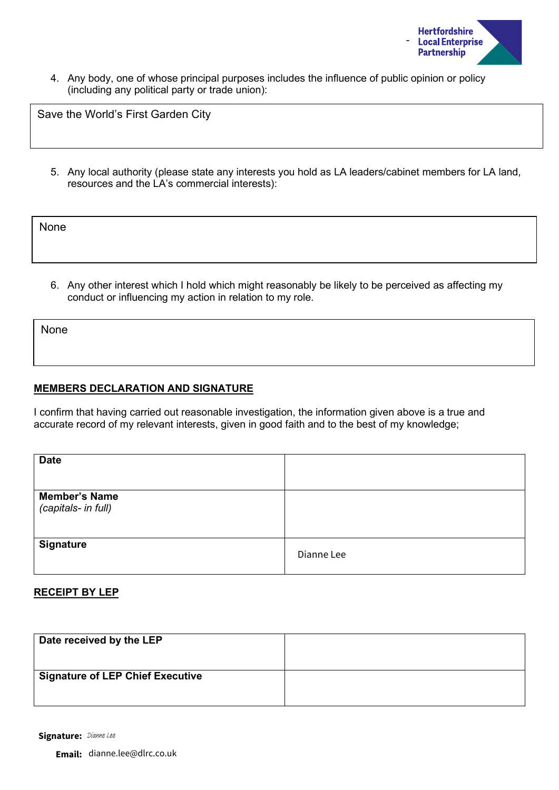

4. Any body, one of whose principal purposes includes the influence of public opinion or policy (including any political party or trade union):

Save the World's First Garden City

5. Any local authority (please state any interests you hold as LA leaders/cabinet members for LA land, resources and the LA's commercial interests):

None

6. Any other interest which I hold which might reasonably be likely to be perceived as affecting my conduct or influencing my action in relation to my role.

None

#### **MEMBERS DECLARATION AND SIGNATURE**

I confirm that having carried out reasonable investigation, the information given above is a true and accurate record of my relevant interests, given in good faith and to the best of my knowledge;

| <b>Date</b>                                 |            |
|---------------------------------------------|------------|
| <b>Member's Name</b><br>(capitals- in full) |            |
| <b>Signature</b>                            | Dianne Lee |

#### **RECEIPT BY LEP**

| Date received by the LEP                |  |
|-----------------------------------------|--|
| <b>Signature of LEP Chief Executive</b> |  |
|                                         |  |

Signature: Dianne Lee

**Email:** dianne.lee@dlrc.co.uk